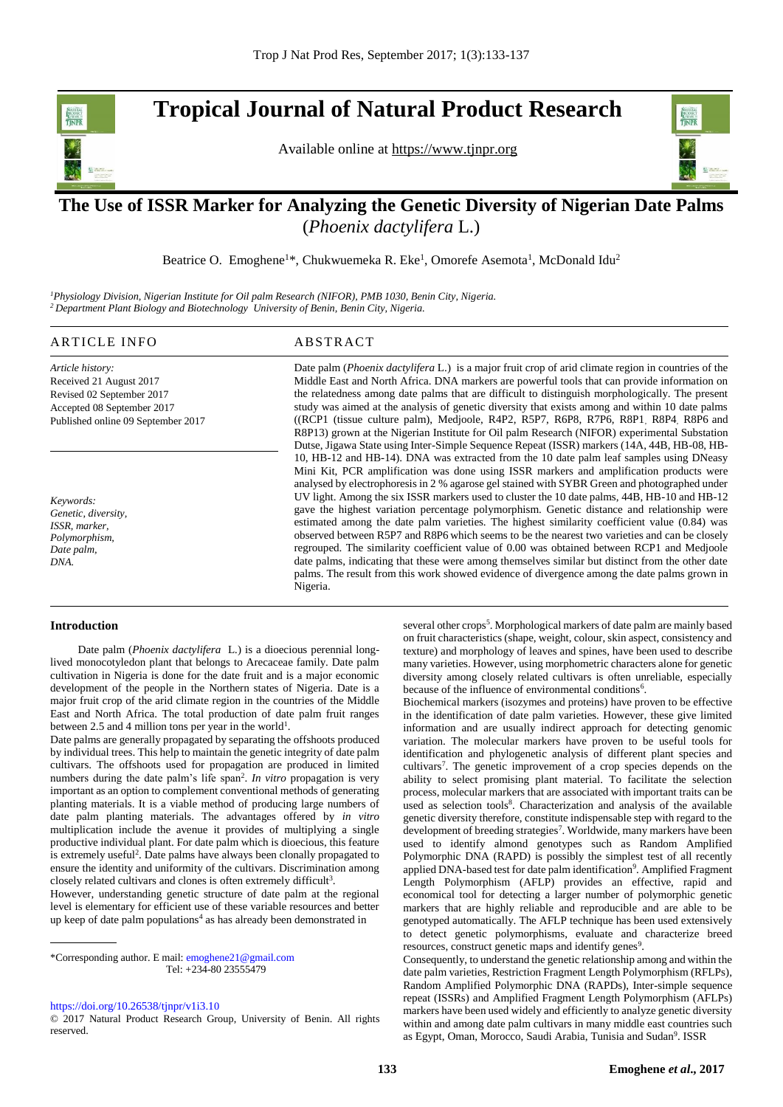**Tropical Journal of Natural Product Research** 

Available online at [https://www.tjnpr.org](https://www.tjnpr.org/)



# . **The Use of ISSR Marker for Analyzing the Genetic Diversity of Nigerian Date Palms**  (*Phoenix dactylifera* L.)

Beatrice O. Emoghene<sup>1\*</sup>, Chukwuemeka R. Eke<sup>1</sup>, Omorefe Asemota<sup>1</sup>, McDonald Idu<sup>2</sup>

*<sup>1</sup>Physiology Division, Nigerian Institute for Oil palm Research (NIFOR), PMB 1030, Benin City, Nigeria. <sup>2</sup>Department Plant Biology and Biotechnology University of Benin, Benin City, Nigeria.*

# ARTICLE INFO ABSTRACT

*Article history:* Received 21 August 2017 Revised 02 September 2017 Accepted 08 September 2017 Published online 09 September 2017

*Keywords: Genetic, diversity, ISSR, marker, Polymorphism, Date palm, DNA.*

Date palm (*Phoenix dactylifera* L.) is a major fruit crop of arid climate region in countries of the Middle East and North Africa. DNA markers are powerful tools that can provide information on the relatedness among date palms that are difficult to distinguish morphologically. The present study was aimed at the analysis of genetic diversity that exists among and within 10 date palms ((RCP1 (tissue culture palm), Medjoole, R4P2, R5P7, R6P8, R7P6, R8P1, R8P4, R8P6 and R8P13) grown at the Nigerian Institute for Oil palm Research (NIFOR) experimental Substation Dutse, Jigawa State using Inter-Simple Sequence Repeat (ISSR) markers (14A, 44B, HB-08, HB-10, HB-12 and HB-14). DNA was extracted from the 10 date palm leaf samples using DNeasy Mini Kit, PCR amplification was done using ISSR markers and amplification products were analysed by electrophoresis in 2 % agarose gel stained with SYBR Green and photographed under UV light. Among the six ISSR markers used to cluster the 10 date palms, 44B, HB-10 and HB-12 gave the highest variation percentage polymorphism. Genetic distance and relationship were estimated among the date palm varieties. The highest similarity coefficient value (0.84) was observed between R5P7 and R8P6 which seems to be the nearest two varieties and can be closely regrouped. The similarity coefficient value of 0.00 was obtained between RCP1 and Medjoole date palms, indicating that these were among themselves similar but distinct from the other date palms. The result from this work showed evidence of divergence among the date palms grown in Nigeria.

# **Introduction**

 Date palm (*Phoenix dactylifera* L*.*) is a dioecious perennial longlived monocotyledon plant that belongs to Arecaceae family. Date palm cultivation in Nigeria is done for the date fruit and is a major economic development of the people in the Northern states of Nigeria. Date is a major fruit crop of the arid climate region in the countries of the Middle East and North Africa. The total production of date palm fruit ranges between 2.5 and 4 million tons per year in the world<sup>1</sup>.

Date palms are generally propagated by separating the offshoots produced by individual trees. This help to maintain the genetic integrity of date palm cultivars. The offshoots used for propagation are produced in limited numbers during the date palm's life span<sup>2</sup>. In vitro propagation is very important as an option to complement conventional methods of generating planting materials. It is a viable method of producing large numbers of date palm planting materials. The advantages offered by *in vitro* multiplication include the avenue it provides of multiplying a single productive individual plant. For date palm which is dioecious, this feature is extremely useful<sup>2</sup>. Date palms have always been clonally propagated to ensure the identity and uniformity of the cultivars. Discrimination among closely related cultivars and clones is often extremely difficult<sup>3</sup>.

However, understanding genetic structure of date palm at the regional level is elementary for efficient use of these variable resources and better up keep of date palm populations<sup>4</sup> as has already been demonstrated in

\*Corresponding author. E mail[: emoghene21@gmail.com](mailto:emoghene21@gmail.com) Tel: +234-80 23555479

[https://doi.org/10.26538/tjnpr/v1i3.1](https://doi.org/10.26538/tjnpr/v1i3.10)0

© 2017 Natural Product Research Group, University of Benin. All rights reserved.

several other crops<sup>5</sup>. Morphological markers of date palm are mainly based on fruit characteristics (shape, weight, colour, skin aspect, consistency and texture) and morphology of leaves and spines, have been used to describe many varieties. However, using morphometric characters alone for genetic diversity among closely related cultivars is often unreliable, especially because of the influence of environmental conditions<sup>6</sup>.

Biochemical markers (isozymes and proteins) have proven to be effective in the identification of date palm varieties. However, these give limited information and are usually indirect approach for detecting genomic variation. The molecular markers have proven to be useful tools for identification and phylogenetic analysis of different plant species and cultivars<sup>7</sup>. The genetic improvement of a crop species depends on the ability to select promising plant material. To facilitate the selection process, molecular markers that are associated with important traits can be used as selection tools<sup>8</sup>. Characterization and analysis of the available genetic diversity therefore, constitute indispensable step with regard to the development of breeding strategies<sup>7</sup>. Worldwide, many markers have been used to identify almond genotypes such as Random Amplified Polymorphic DNA (RAPD) is possibly the simplest test of all recently applied DNA-based test for date palm identification<sup>9</sup>. Amplified Fragment Length Polymorphism (AFLP) provides an effective, rapid and economical tool for detecting a larger number of polymorphic genetic markers that are highly reliable and reproducible and are able to be genotyped automatically. The AFLP technique has been used extensively to detect genetic polymorphisms, evaluate and characterize breed resources, construct genetic maps and identify genes<sup>9</sup>.

Consequently, to understand the genetic relationship among and within the date palm varieties, Restriction Fragment Length Polymorphism (RFLPs), Random Amplified Polymorphic DNA (RAPDs), Inter-simple sequence repeat (ISSRs) and Amplified Fragment Length Polymorphism (AFLPs) markers have been used widely and efficiently to analyze genetic diversity within and among date palm cultivars in many middle east countries such as Egypt, Oman, Morocco, Saudi Arabia, Tunisia and Sudan<sup>9</sup>. ISSR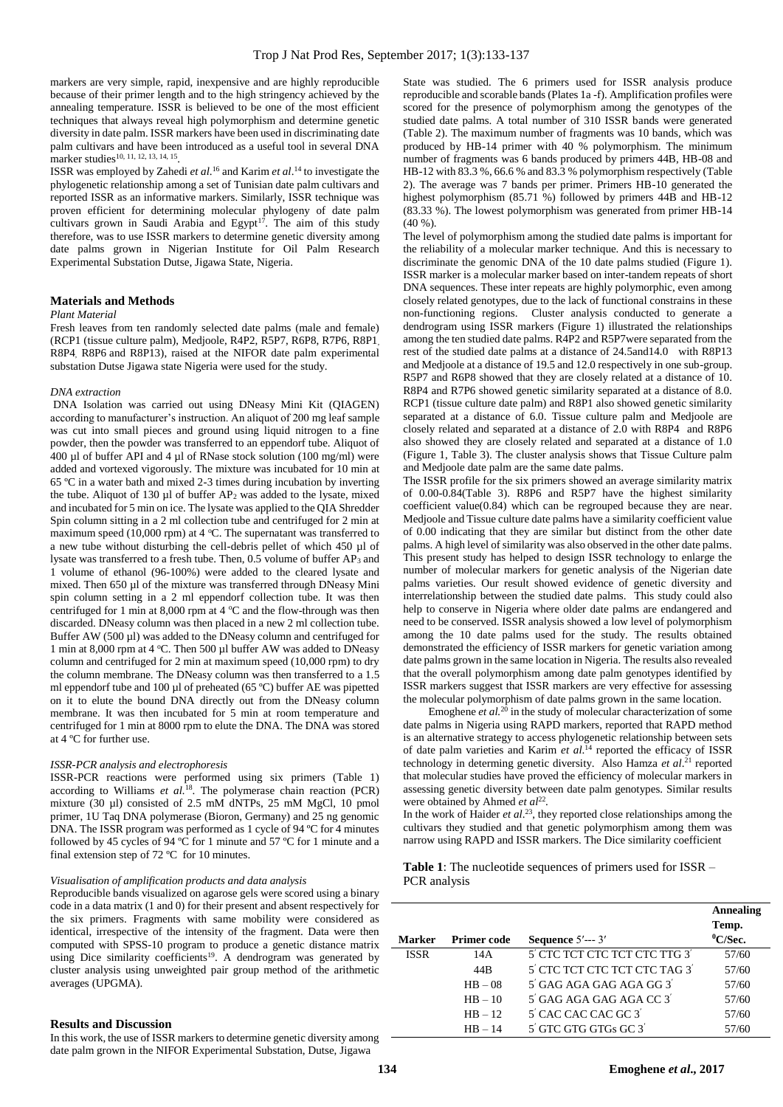markers are very simple, rapid, inexpensive and are highly reproducible because of their primer length and to the high stringency achieved by the annealing temperature. ISSR is believed to be one of the most efficient techniques that always reveal high polymorphism and determine genetic diversity in date palm. ISSR markers have been used in discriminating date palm cultivars and have been introduced as a useful tool in several DNA marker studies<sup>10, 11, 12, 13, 14, 15</sup>.

ISSR was employed by Zahedi *et al*. <sup>16</sup> and Karim *et al*. <sup>14</sup> to investigate the phylogenetic relationship among a set of Tunisian date palm cultivars and reported ISSR as an informative markers. Similarly, ISSR technique was proven efficient for determining molecular phylogeny of date palm cultivars grown in Saudi Arabia and Egypt<sup>17</sup>. The aim of this study therefore, was to use ISSR markers to determine genetic diversity among date palms grown in Nigerian Institute for Oil Palm Research Experimental Substation Dutse, Jigawa State, Nigeria.

# **Materials and Methods**

#### *Plant Material*

Fresh leaves from ten randomly selected date palms (male and female) (RCP1 (tissue culture palm), Medjoole, R4P2, R5P7, R6P8, R7P6, R8P1, R8P4, R8P6 and R8P13), raised at the NIFOR date palm experimental substation Dutse Jigawa state Nigeria were used for the study.

#### *DNA extraction*

DNA Isolation was carried out using DNeasy Mini Kit (QIAGEN) according to manufacturer's instruction. An aliquot of 200 mg leaf sample was cut into small pieces and ground using liquid nitrogen to a fine powder, then the powder was transferred to an eppendorf tube. Aliquot of 400  $\mu$ l of buffer API and 4  $\mu$ l of RNase stock solution (100 mg/ml) were added and vortexed vigorously. The mixture was incubated for 10 min at 65 ºC in a water bath and mixed 2-3 times during incubation by inverting the tube. Aliquot of 130  $\mu$ l of buffer AP<sub>2</sub> was added to the lysate, mixed and incubated for 5 min on ice. The lysate was applied to the QIA Shredder Spin column sitting in a 2 ml collection tube and centrifuged for 2 min at maximum speed (10,000 rpm) at 4  $^{\circ}$ C. The supernatant was transferred to a new tube without disturbing the cell-debris pellet of which 450 µl of lysate was transferred to a fresh tube. Then, 0.5 volume of buffer AP<sup>3</sup> and 1 volume of ethanol (96-100%) were added to the cleared lysate and mixed. Then 650 µl of the mixture was transferred through DNeasy Mini spin column setting in a 2 ml eppendorf collection tube. It was then centrifuged for 1 min at 8,000 rpm at 4  $\rm ^oC$  and the flow-through was then discarded. DNeasy column was then placed in a new 2 ml collection tube. Buffer AW (500  $\mu$ l) was added to the DNeasy column and centrifuged for 1 min at 8,000 rpm at 4 °C. Then 500 µl buffer AW was added to DNeasy column and centrifuged for 2 min at maximum speed (10,000 rpm) to dry the column membrane. The DNeasy column was then transferred to a 1.5 ml eppendorf tube and 100 µl of preheated (65 °C) buffer AE was pipetted on it to elute the bound DNA directly out from the DNeasy column membrane. It was then incubated for 5 min at room temperature and centrifuged for 1 min at 8000 rpm to elute the DNA. The DNA was stored at 4 ºC for further use.

#### *ISSR-PCR analysis and electrophoresis*

ISSR-PCR reactions were performed using six primers (Table 1) according to Williams *et al.*<sup>18</sup>. The polymerase chain reaction (PCR) mixture (30 µl) consisted of 2.5 mM dNTPs, 25 mM MgCl, 10 pmol primer, 1U Taq DNA polymerase (Bioron, Germany) and 25 ng genomic DNA. The ISSR program was performed as 1 cycle of 94 ºC for 4 minutes followed by 45 cycles of 94 ºC for 1 minute and 57 ºC for 1 minute and a final extension step of 72 ºC for 10 minutes.

#### *Visualisation of amplification products and data analysis*

Reproducible bands visualized on agarose gels were scored using a binary code in a data matrix (1 and 0) for their present and absent respectively for the six primers. Fragments with same mobility were considered as identical, irrespective of the intensity of the fragment. Data were then computed with SPSS-10 program to produce a genetic distance matrix using Dice similarity coefficients<sup>19</sup>. A dendrogram was generated by cluster analysis using unweighted pair group method of the arithmetic averages (UPGMA).

# **Results and Discussion**

In this work, the use of ISSR markers to determine genetic diversity among date palm grown in the NIFOR Experimental Substation, Dutse, Jigawa

State was studied. The 6 primers used for ISSR analysis produce reproducible and scorable bands (Plates 1a -f). Amplification profiles were scored for the presence of polymorphism among the genotypes of the studied date palms. A total number of 310 ISSR bands were generated (Table 2). The maximum number of fragments was 10 bands, which was produced by HB-14 primer with 40 % polymorphism. The minimum number of fragments was 6 bands produced by primers 44B, HB-08 and HB-12 with 83.3 %, 66.6 % and 83.3 % polymorphism respectively (Table 2). The average was 7 bands per primer. Primers HB-10 generated the highest polymorphism (85.71 %) followed by primers 44B and HB-12 (83.33 %). The lowest polymorphism was generated from primer HB-14  $(40\%$ ).

The level of polymorphism among the studied date palms is important for the reliability of a molecular marker technique. And this is necessary to discriminate the genomic DNA of the 10 date palms studied (Figure 1). ISSR marker is a molecular marker based on inter-tandem repeats of short DNA sequences. These inter repeats are highly polymorphic, even among closely related genotypes, due to the lack of functional constrains in these non-functioning regions. Cluster analysis conducted to generate a dendrogram using ISSR markers (Figure 1) illustrated the relationships among the ten studied date palms. R4P2 and R5P7were separated from the rest of the studied date palms at a distance of 24.5and14.0 with R8P13 and Medjoole at a distance of 19.5 and 12.0 respectively in one sub-group. R5P7 and R6P8 showed that they are closely related at a distance of 10. R8P4 and R7P6 showed genetic similarity separated at a distance of 8.0. RCP1 (tissue culture date palm) and R8P1 also showed genetic similarity separated at a distance of 6.0. Tissue culture palm and Medjoole are closely related and separated at a distance of 2.0 with R8P4 and R8P6 also showed they are closely related and separated at a distance of 1.0 (Figure 1, Table 3). The cluster analysis shows that Tissue Culture palm and Medjoole date palm are the same date palms.

The ISSR profile for the six primers showed an average similarity matrix of 0.00-0.84(Table 3). R8P6 and R5P7 have the highest similarity coefficient value(0.84) which can be regrouped because they are near. Medjoole and Tissue culture date palms have a similarity coefficient value of 0.00 indicating that they are similar but distinct from the other date palms. A high level of similarity was also observed in the other date palms. This present study has helped to design ISSR technology to enlarge the number of molecular markers for genetic analysis of the Nigerian date palms varieties. Our result showed evidence of genetic diversity and interrelationship between the studied date palms. This study could also help to conserve in Nigeria where older date palms are endangered and need to be conserved. ISSR analysis showed a low level of polymorphism among the 10 date palms used for the study. The results obtained demonstrated the efficiency of ISSR markers for genetic variation among date palms grown in the same location in Nigeria. The results also revealed that the overall polymorphism among date palm genotypes identified by ISSR markers suggest that ISSR markers are very effective for assessing the molecular polymorphism of date palms grown in the same location.

Emoghene *et al.*<sup>20</sup> in the study of molecular characterization of some date palms in Nigeria using RAPD markers, reported that RAPD method is an alternative strategy to access phylogenetic relationship between sets of date palm varieties and Karim *et al*. <sup>14</sup> reported the efficacy of ISSR technology in determing genetic diversity. Also Hamza *et al*. <sup>21</sup> reported that molecular studies have proved the efficiency of molecular markers in assessing genetic diversity between date palm genotypes. Similar results were obtained by Ahmed et al<sup>22</sup>.

In the work of Haider *et al*. <sup>23</sup>, they reported close relationships among the cultivars they studied and that genetic polymorphism among them was narrow using RAPD and ISSR markers. The Dice similarity coefficient

**Table 1**: The nucleotide sequences of primers used for ISSR – PCR analysis

|             |                    |                                              | Annealing   |
|-------------|--------------------|----------------------------------------------|-------------|
|             |                    |                                              | Temp.       |
| Marker      | <b>Primer code</b> | Sequence $5'$ --- $3'$                       | $^0$ C/Sec. |
| <b>ISSR</b> | 14A                | 5' CTC TCT CTC TCT CTC TTG 3'                | 57/60       |
|             | 44B                | 5' CTC TCT CTC TCT CTC TAG 3'                | 57/60       |
|             | $HB - 08$          | $5'$ GAG AGA GAG AGA GG $3'$                 | 57/60       |
|             | $HB - 10$          | $5'$ GAG AGA GAG AGA CC $3'$                 | 57/60       |
|             | $HR - 12$          | 5 <sup>'</sup> CAC CAC CAC GC 3 <sup>'</sup> | 57/60       |
|             | $HB - 14$          | 5' GTC GTG GTGs GC 3'                        | 57/60       |
|             |                    |                                              |             |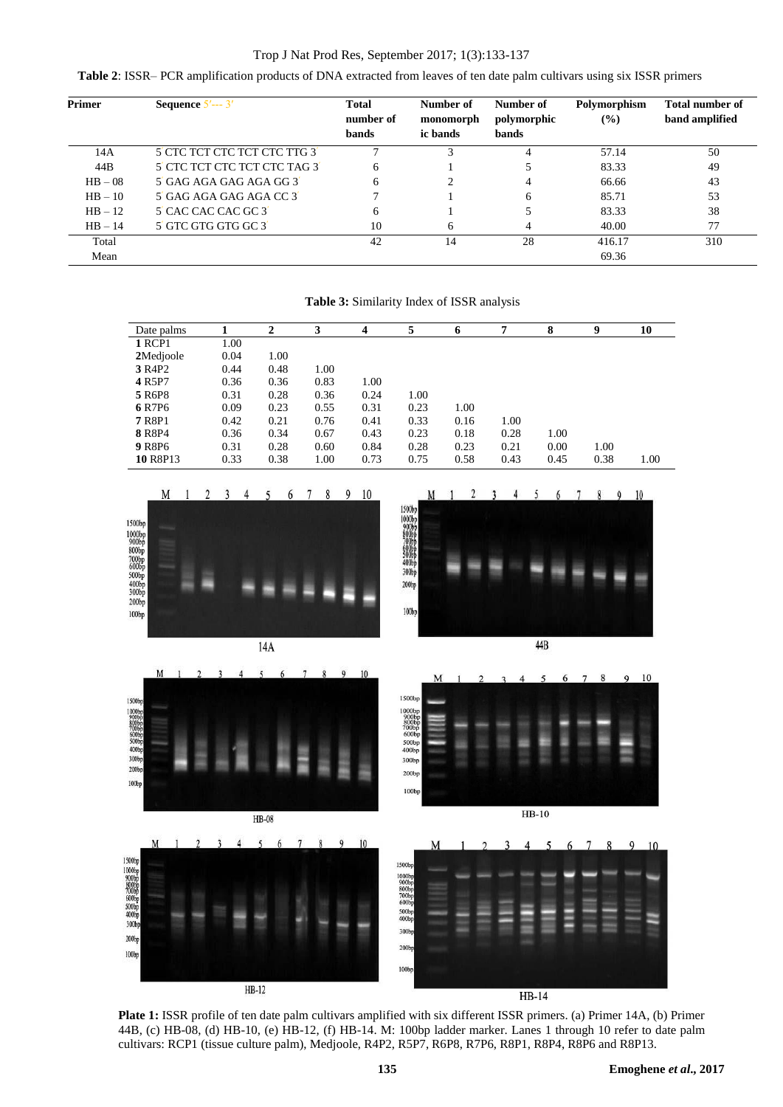# Trop J Nat Prod Res, September 2017; 1(3):133-137

**Table 2**: ISSR– PCR amplification products of DNA extracted from leaves of ten date palm cultivars using six ISSR primers

| <b>Primer</b> | Sequence $5'$ --- $3'$        | <b>Total</b><br>number of<br>bands | Number of<br>monomorph<br>ic bands | Number of<br>polymorphic<br>bands | Polymorphism<br>(%) | <b>Total number of</b><br>band amplified |
|---------------|-------------------------------|------------------------------------|------------------------------------|-----------------------------------|---------------------|------------------------------------------|
| 14A           | 5' CTC TCT CTC TCT CTC TTG 3' |                                    |                                    | 4                                 | 57.14               | 50                                       |
| 44B           | 5' CTC TCT CTC TCT CTC TAG 3' | 6                                  |                                    |                                   | 83.33               | 49                                       |
| $HB - 08$     | 5 GAG AGA GAG AGA GG 3        | 6                                  |                                    | 4                                 | 66.66               | 43                                       |
| $HB - 10$     | 5 GAG AGA GAG AGA CC 3        |                                    |                                    | 6                                 | 85.71               | 53                                       |
| $HB - 12$     | 5' CAC CAC CAC GC 3'          | 6                                  |                                    |                                   | 83.33               | 38                                       |
| $HB - 14$     | 5' GTC GTG GTG GC 3'          | 10                                 | 6                                  | 4                                 | 40.00               | 77                                       |
| Total         |                               | 42                                 | 14                                 | 28                                | 416.17              | 310                                      |
| Mean          |                               |                                    |                                    |                                   | 69.36               |                                          |

**Table 3:** Similarity Index of ISSR analysis

Date palms **1 2 3 4 5 6 7 8 9 10 1 RCP1** 1.00<br>**2**Medjoole 0.04 **2**Medjoole 0.04 1.00<br> **3** R4P2 0.44 0.48 **3 R4P2** 0.44 0.48 1.00<br> **4 R5P7** 0.36 0.36 0.83 **4 R5P7** 0.36 0.36 0.83 1.00<br>**5 R6P8** 0.31 0.28 0.36 0.24 **5** R6P8 0.31 0.28 0.36 0.24 1.00 **6** R7P6 0.09 0.23 0.55 0.31 0.23 1.00 **7** R8P1 0.42 0.21 0.76 0.41 0.33 0.16 1.00 **8** R8P4 0.36 0.34 0.67 0.43 0.23 0.18 0.28 1.00 **9** R8P6 0.31 0.28 0.60 0.84 0.28 0.23 0.21 0.00 1.00 **10** R8P13 0.33 0.38 1.00 0.73 0.75 0.58 0.43 0.45 0.38 1.00



**Plate 1:** ISSR profile of ten date palm cultivars amplified with six different ISSR primers. (a) Primer 14A, (b) Primer 44B, (c) HB-08, (d) HB-10, (e) HB-12, (f) HB-14. M: 100bp ladder marker. Lanes 1 through 10 refer to date palm cultivars: RCP1 (tissue culture palm), Medjoole, R4P2, R5P7, R6P8, R7P6, R8P1, R8P4, R8P6 and R8P13.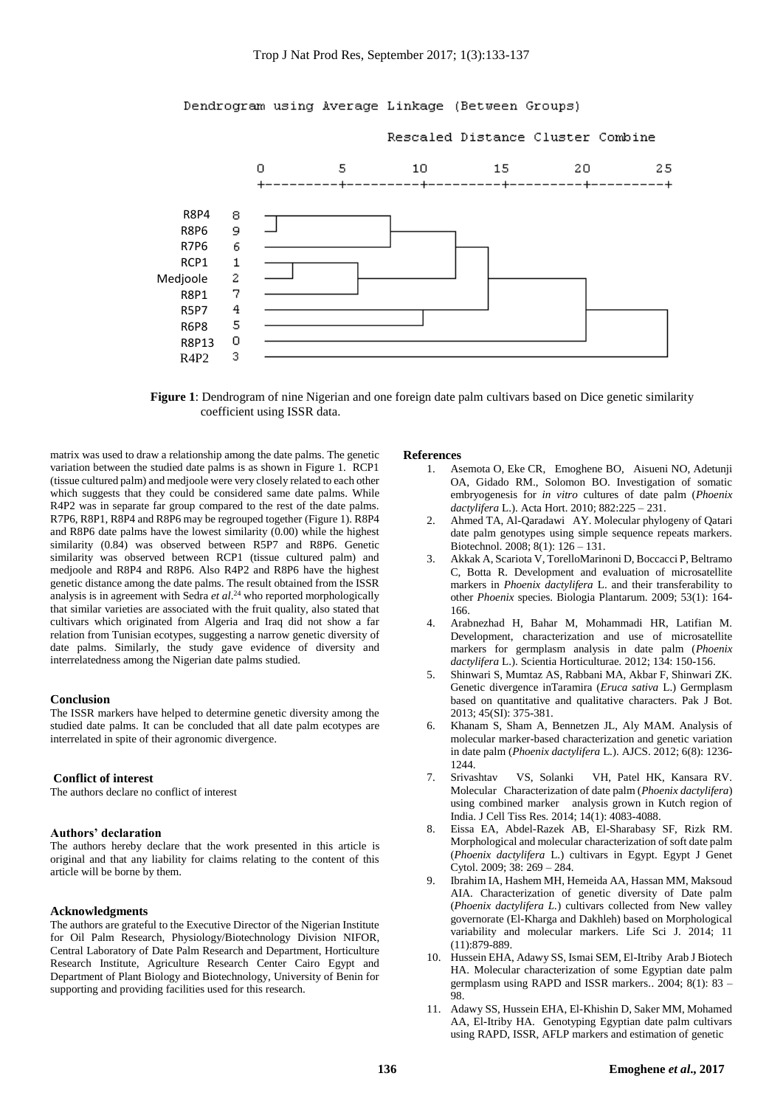

**Figure 1**: Dendrogram of nine Nigerian and one foreign date palm cultivars based on Dice genetic similarity coefficient using ISSR data.

matrix was used to draw a relationship among the date palms. The genetic variation between the studied date palms is as shown in Figure 1. RCP1 (tissue cultured palm) and medjoole were very closely related to each other which suggests that they could be considered same date palms. While R4P2 was in separate far group compared to the rest of the date palms. R7P6, R8P1, R8P4 and R8P6 may be regrouped together (Figure 1). R8P4 and R8P6 date palms have the lowest similarity (0.00) while the highest similarity (0.84) was observed between R5P7 and R8P6. Genetic similarity was observed between RCP1 (tissue cultured palm) and medjoole and R8P4 and R8P6. Also R4P2 and R8P6 have the highest genetic distance among the date palms. The result obtained from the ISSR analysis is in agreement with Sedra *et al*. <sup>24</sup> who reported morphologically that similar varieties are associated with the fruit quality, also stated that cultivars which originated from Algeria and Iraq did not show a far relation from Tunisian ecotypes, suggesting a narrow genetic diversity of date palms. Similarly, the study gave evidence of diversity and interrelatedness among the Nigerian date palms studied.

#### **Conclusion**

The ISSR markers have helped to determine genetic diversity among the studied date palms. It can be concluded that all date palm ecotypes are interrelated in spite of their agronomic divergence.

# **Conflict of interest**

The authors declare no conflict of interest

### **Authors' declaration**

The authors hereby declare that the work presented in this article is original and that any liability for claims relating to the content of this article will be borne by them.

# **Acknowledgments**

The authors are grateful to the Executive Director of the Nigerian Institute for Oil Palm Research, Physiology/Biotechnology Division NIFOR, Central Laboratory of Date Palm Research and Department, Horticulture Research Institute, Agriculture Research Center Cairo Egypt and Department of Plant Biology and Biotechnology, University of Benin for supporting and providing facilities used for this research.

#### **References**

- 1. Asemota O, Eke CR, Emoghene BO, Aisueni NO, Adetunji OA, Gidado RM., Solomon BO. Investigation of somatic embryogenesis for *in vitro* cultures of date palm (*Phoenix dactylifera* L.). Acta Hort. 2010; 882:225 – 231.
- 2. Ahmed TA, Al-Qaradawi AY. Molecular phylogeny of Qatari date palm genotypes using simple sequence repeats markers. Biotechnol*.* 2008; 8(1): 126 – 131.
- 3. Akkak A, Scariota V, TorelloMarinoni D, Boccacci P, Beltramo C, Botta R. Development and evaluation of microsatellite markers in *Phoenix dactylifera* L. and their transferability to other *Phoenix* species. Biologia Plantarum. 2009; 53(1): 164- 166.
- 4. Arabnezhad H, Bahar M, Mohammadi HR, Latifian M. Development, characterization and use of microsatellite markers for germplasm analysis in date palm (*Phoenix dactylifera* L.). Scientia Horticulturae*.* 2012; 134: 150-156.
- 5. Shinwari S, Mumtaz AS, Rabbani MA, Akbar F, Shinwari ZK. Genetic divergence inTaramira (*Eruca sativa* L.) Germplasm based on quantitative and qualitative characters. Pak J Bot. 2013; 45(SI): 375-381.
- 6. Khanam S, Sham A, Bennetzen JL, Aly MAM. Analysis of molecular marker-based characterization and genetic variation in date palm (*Phoenix dactylifera* L.). AJCS. 2012; 6(8): 1236- 1244.
- 7. Srivashtav VS, Solanki VH, Patel HK, Kansara RV. Molecular Characterization of date palm (*Phoenix dactylifera*) using combined marker analysis grown in Kutch region of India. J Cell Tiss Res*.* 2014; 14(1): 4083-4088.
- 8. Eissa EA, Abdel-Razek AB, El-Sharabasy SF, Rizk RM. Morphological and molecular characterization of soft date palm (*Phoenix dactylifera* L.) cultivars in Egypt. Egypt J Genet Cytol. 2009; 38: 269 – 284.
- 9. Ibrahim IA, Hashem MH, Hemeida AA, Hassan MM, Maksoud AIA. Characterization of genetic diversity of Date palm (*Phoenix dactylifera L.*) cultivars collected from New valley governorate (El-Kharga and Dakhleh) based on Morphological variability and molecular markers. Life Sci J. 2014; 11 (11):879-889.
- 10. Hussein EHA, Adawy SS, Ismai SEM, El-Itriby Arab J Biotech HA. Molecular characterization of some Egyptian date palm germplasm using RAPD and ISSR markers.. 2004; 8(1): 83 – 98.
- 11. Adawy SS, Hussein EHA, El-Khishin D, Saker MM, Mohamed AA, El-Itriby HA. Genotyping Egyptian date palm cultivars using RAPD, ISSR, AFLP markers and estimation of genetic